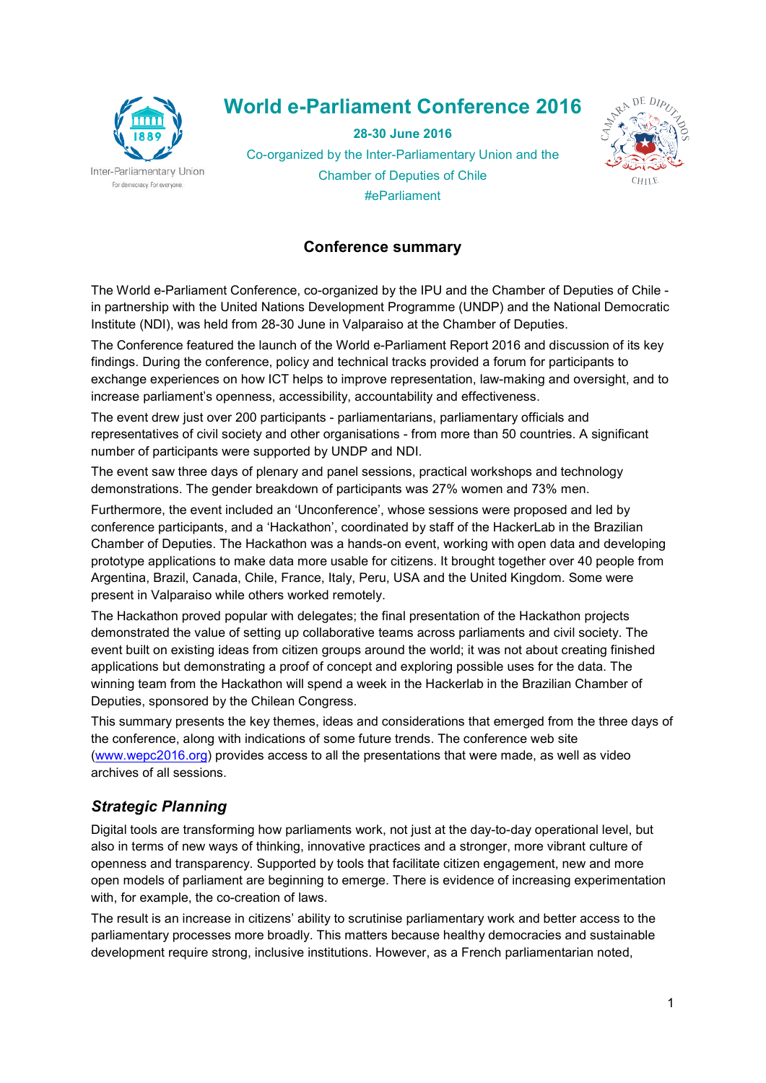

# World e-Parliament Conference 2016

28-30 June 2016 Co-organized by the Inter-Parliamentary Union and the



Chamber of Deputies of Chile #eParliament

#### Conference summary

The World e-Parliament Conference, co-organized by the IPU and the Chamber of Deputies of Chile in partnership with the United Nations Development Programme (UNDP) and the National Democratic Institute (NDI), was held from 28-30 June in Valparaiso at the Chamber of Deputies.

The Conference featured the launch of the World e-Parliament Report 2016 and discussion of its key findings. During the conference, policy and technical tracks provided a forum for participants to exchange experiences on how ICT helps to improve representation, law-making and oversight, and to increase parliament's openness, accessibility, accountability and effectiveness.

The event drew just over 200 participants - parliamentarians, parliamentary officials and representatives of civil society and other organisations - from more than 50 countries. A significant number of participants were supported by UNDP and NDI.

The event saw three days of plenary and panel sessions, practical workshops and technology demonstrations. The gender breakdown of participants was 27% women and 73% men.

Furthermore, the event included an 'Unconference', whose sessions were proposed and led by conference participants, and a 'Hackathon', coordinated by staff of the HackerLab in the Brazilian Chamber of Deputies. The Hackathon was a hands-on event, working with open data and developing prototype applications to make data more usable for citizens. It brought together over 40 people from Argentina, Brazil, Canada, Chile, France, Italy, Peru, USA and the United Kingdom. Some were present in Valparaiso while others worked remotely.

The Hackathon proved popular with delegates; the final presentation of the Hackathon projects demonstrated the value of setting up collaborative teams across parliaments and civil society. The event built on existing ideas from citizen groups around the world; it was not about creating finished applications but demonstrating a proof of concept and exploring possible uses for the data. The winning team from the Hackathon will spend a week in the Hackerlab in the Brazilian Chamber of Deputies, sponsored by the Chilean Congress.

This summary presents the key themes, ideas and considerations that emerged from the three days of the conference, along with indications of some future trends. The conference web site (www.wepc2016.org) provides access to all the presentations that were made, as well as video archives of all sessions.

#### Strategic Planning

Digital tools are transforming how parliaments work, not just at the day-to-day operational level, but also in terms of new ways of thinking, innovative practices and a stronger, more vibrant culture of openness and transparency. Supported by tools that facilitate citizen engagement, new and more open models of parliament are beginning to emerge. There is evidence of increasing experimentation with, for example, the co-creation of laws.

The result is an increase in citizens' ability to scrutinise parliamentary work and better access to the parliamentary processes more broadly. This matters because healthy democracies and sustainable development require strong, inclusive institutions. However, as a French parliamentarian noted,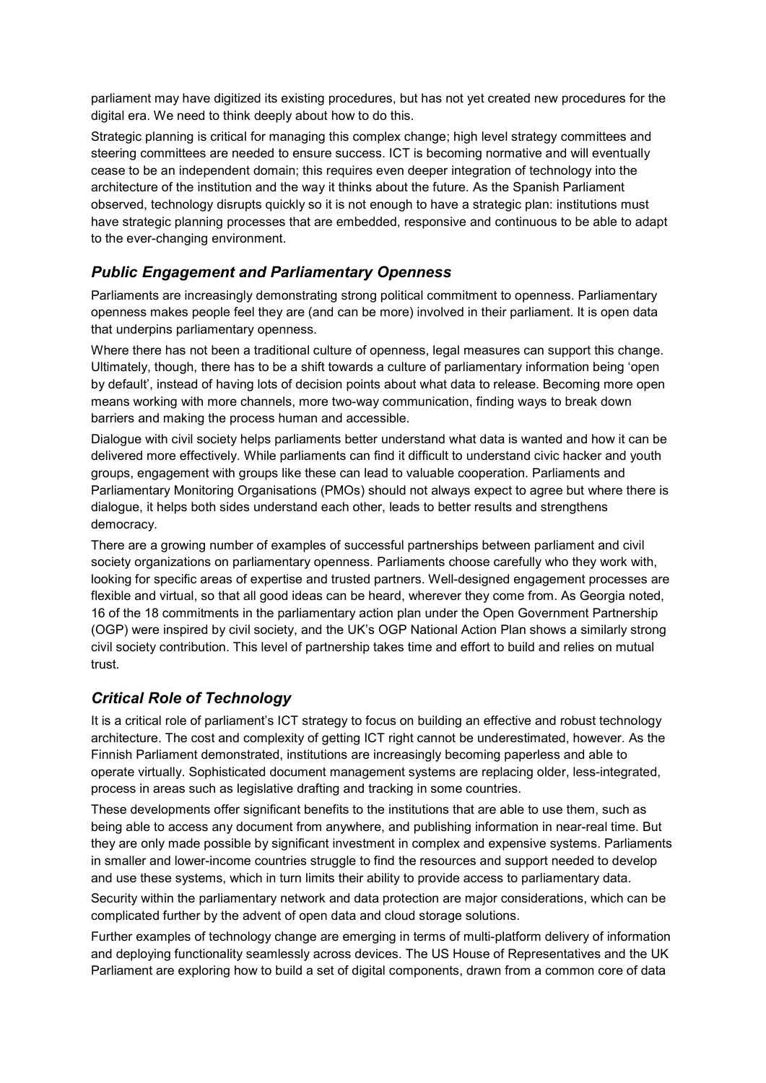parliament may have digitized its existing procedures, but has not yet created new procedures for the digital era. We need to think deeply about how to do this.

Strategic planning is critical for managing this complex change; high level strategy committees and steering committees are needed to ensure success. ICT is becoming normative and will eventually cease to be an independent domain; this requires even deeper integration of technology into the architecture of the institution and the way it thinks about the future. As the Spanish Parliament observed, technology disrupts quickly so it is not enough to have a strategic plan: institutions must have strategic planning processes that are embedded, responsive and continuous to be able to adapt to the ever-changing environment.

## Public Engagement and Parliamentary Openness

Parliaments are increasingly demonstrating strong political commitment to openness. Parliamentary openness makes people feel they are (and can be more) involved in their parliament. It is open data that underpins parliamentary openness.

Where there has not been a traditional culture of openness, legal measures can support this change. Ultimately, though, there has to be a shift towards a culture of parliamentary information being 'open by default', instead of having lots of decision points about what data to release. Becoming more open means working with more channels, more two-way communication, finding ways to break down barriers and making the process human and accessible.

Dialogue with civil society helps parliaments better understand what data is wanted and how it can be delivered more effectively. While parliaments can find it difficult to understand civic hacker and youth groups, engagement with groups like these can lead to valuable cooperation. Parliaments and Parliamentary Monitoring Organisations (PMOs) should not always expect to agree but where there is dialogue, it helps both sides understand each other, leads to better results and strengthens democracy.

There are a growing number of examples of successful partnerships between parliament and civil society organizations on parliamentary openness. Parliaments choose carefully who they work with, looking for specific areas of expertise and trusted partners. Well-designed engagement processes are flexible and virtual, so that all good ideas can be heard, wherever they come from. As Georgia noted, 16 of the 18 commitments in the parliamentary action plan under the Open Government Partnership (OGP) were inspired by civil society, and the UK's OGP National Action Plan shows a similarly strong civil society contribution. This level of partnership takes time and effort to build and relies on mutual trust.

#### Critical Role of Technology

It is a critical role of parliament's ICT strategy to focus on building an effective and robust technology architecture. The cost and complexity of getting ICT right cannot be underestimated, however. As the Finnish Parliament demonstrated, institutions are increasingly becoming paperless and able to operate virtually. Sophisticated document management systems are replacing older, less-integrated, process in areas such as legislative drafting and tracking in some countries.

These developments offer significant benefits to the institutions that are able to use them, such as being able to access any document from anywhere, and publishing information in near-real time. But they are only made possible by significant investment in complex and expensive systems. Parliaments in smaller and lower-income countries struggle to find the resources and support needed to develop and use these systems, which in turn limits their ability to provide access to parliamentary data.

Security within the parliamentary network and data protection are major considerations, which can be complicated further by the advent of open data and cloud storage solutions.

Further examples of technology change are emerging in terms of multi-platform delivery of information and deploying functionality seamlessly across devices. The US House of Representatives and the UK Parliament are exploring how to build a set of digital components, drawn from a common core of data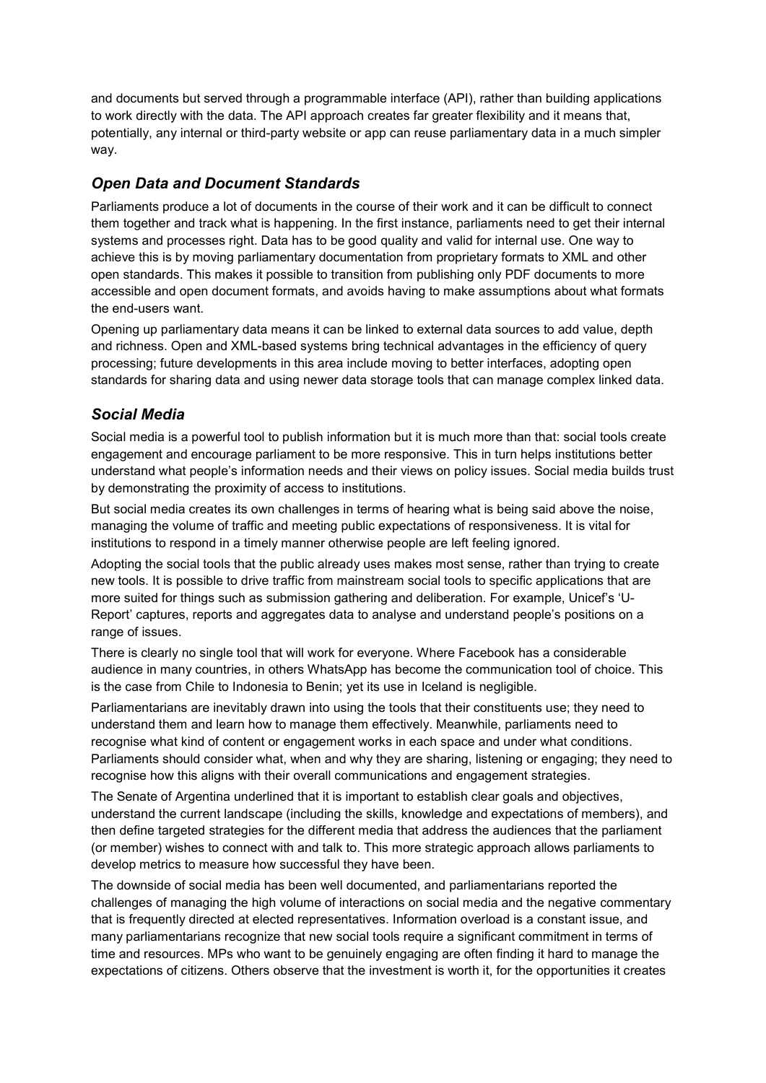and documents but served through a programmable interface (API), rather than building applications to work directly with the data. The API approach creates far greater flexibility and it means that, potentially, any internal or third-party website or app can reuse parliamentary data in a much simpler way.

## Open Data and Document Standards

Parliaments produce a lot of documents in the course of their work and it can be difficult to connect them together and track what is happening. In the first instance, parliaments need to get their internal systems and processes right. Data has to be good quality and valid for internal use. One way to achieve this is by moving parliamentary documentation from proprietary formats to XML and other open standards. This makes it possible to transition from publishing only PDF documents to more accessible and open document formats, and avoids having to make assumptions about what formats the end-users want.

Opening up parliamentary data means it can be linked to external data sources to add value, depth and richness. Open and XML-based systems bring technical advantages in the efficiency of query processing; future developments in this area include moving to better interfaces, adopting open standards for sharing data and using newer data storage tools that can manage complex linked data.

## Social Media

Social media is a powerful tool to publish information but it is much more than that: social tools create engagement and encourage parliament to be more responsive. This in turn helps institutions better understand what people's information needs and their views on policy issues. Social media builds trust by demonstrating the proximity of access to institutions.

But social media creates its own challenges in terms of hearing what is being said above the noise, managing the volume of traffic and meeting public expectations of responsiveness. It is vital for institutions to respond in a timely manner otherwise people are left feeling ignored.

Adopting the social tools that the public already uses makes most sense, rather than trying to create new tools. It is possible to drive traffic from mainstream social tools to specific applications that are more suited for things such as submission gathering and deliberation. For example, Unicef's 'U-Report' captures, reports and aggregates data to analyse and understand people's positions on a range of issues.

There is clearly no single tool that will work for everyone. Where Facebook has a considerable audience in many countries, in others WhatsApp has become the communication tool of choice. This is the case from Chile to Indonesia to Benin; yet its use in Iceland is negligible.

Parliamentarians are inevitably drawn into using the tools that their constituents use; they need to understand them and learn how to manage them effectively. Meanwhile, parliaments need to recognise what kind of content or engagement works in each space and under what conditions. Parliaments should consider what, when and why they are sharing, listening or engaging; they need to recognise how this aligns with their overall communications and engagement strategies.

The Senate of Argentina underlined that it is important to establish clear goals and objectives, understand the current landscape (including the skills, knowledge and expectations of members), and then define targeted strategies for the different media that address the audiences that the parliament (or member) wishes to connect with and talk to. This more strategic approach allows parliaments to develop metrics to measure how successful they have been.

The downside of social media has been well documented, and parliamentarians reported the challenges of managing the high volume of interactions on social media and the negative commentary that is frequently directed at elected representatives. Information overload is a constant issue, and many parliamentarians recognize that new social tools require a significant commitment in terms of time and resources. MPs who want to be genuinely engaging are often finding it hard to manage the expectations of citizens. Others observe that the investment is worth it, for the opportunities it creates